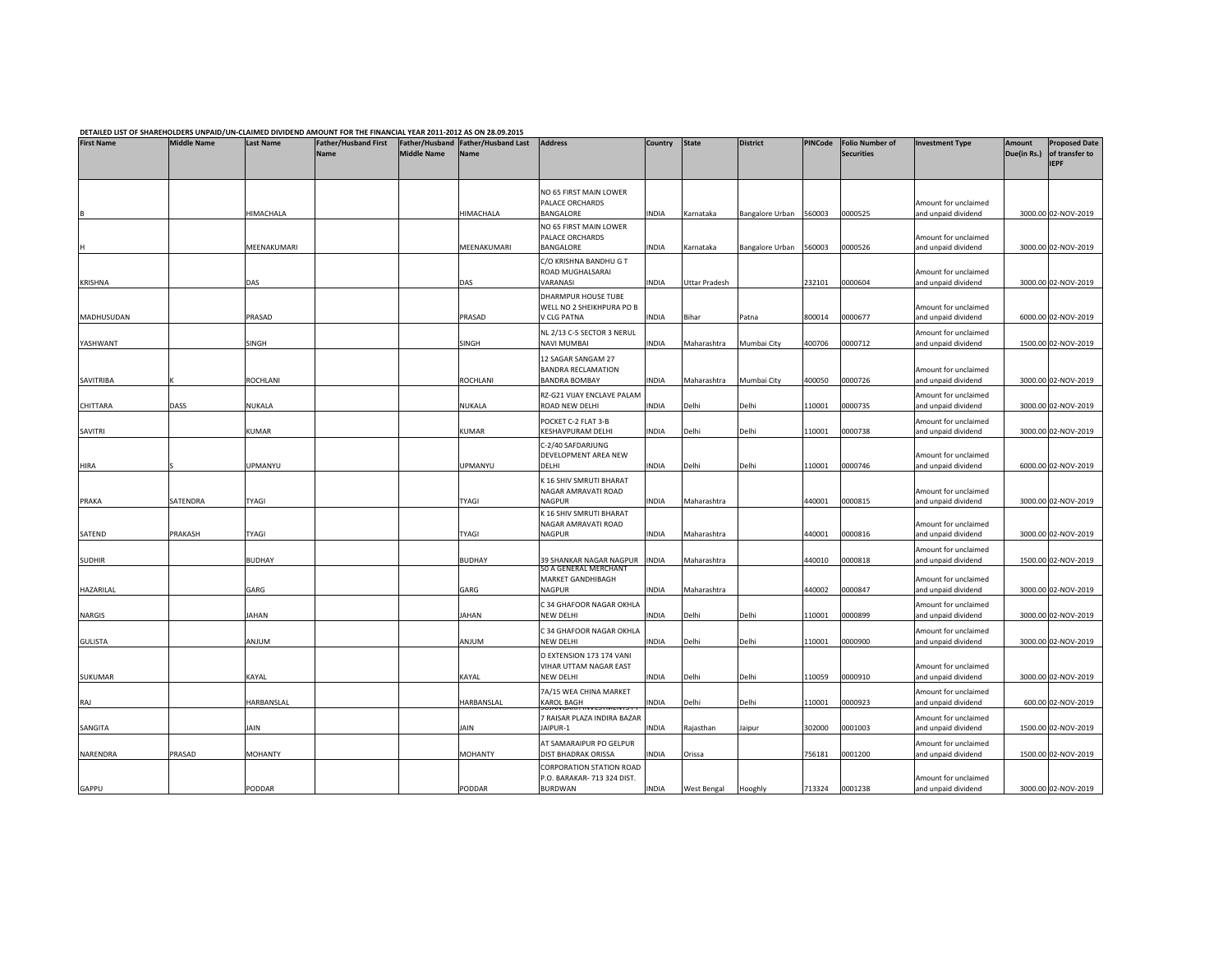|                   |                    |                  | DETAILED LIST OF SHAREHOLDERS UNPAID/UN-CLAIMED DIVIDEND AMOUNT FOR THE FINANCIAL YEAR 2011-2012 AS ON 28.09.2015 |                    |                                                   |                                                                            |              |               |                 |         |                                             |                                             |                       |                                                       |
|-------------------|--------------------|------------------|-------------------------------------------------------------------------------------------------------------------|--------------------|---------------------------------------------------|----------------------------------------------------------------------------|--------------|---------------|-----------------|---------|---------------------------------------------|---------------------------------------------|-----------------------|-------------------------------------------------------|
| <b>First Name</b> | <b>Middle Name</b> | <b>Last Name</b> | <b>Father/Husband First</b><br><b>Name</b>                                                                        | <b>Middle Name</b> | Father/Husband Father/Husband Last<br><b>Name</b> | <b>Address</b>                                                             | Country      | <b>State</b>  | <b>District</b> | PINCode | <b>Folio Number of</b><br><b>Securities</b> | <b>Investment Type</b>                      | Amount<br>Due(in Rs.) | <b>Proposed Date</b><br>of transfer to<br><b>IEPF</b> |
|                   |                    | HIMACHALA        |                                                                                                                   |                    | HIMACHALA                                         | NO 65 FIRST MAIN LOWER<br>PALACE ORCHARDS<br>BANGALORE                     | INDIA        | Karnataka     | Bangalore Urban | 560003  | 0000525                                     | Amount for unclaimed<br>and unpaid dividend |                       | 3000.00 02-NOV-2019                                   |
|                   |                    |                  |                                                                                                                   |                    |                                                   | NO 65 FIRST MAIN LOWER<br>PALACE ORCHARDS                                  |              |               |                 |         |                                             | Amount for unclaimed                        |                       |                                                       |
|                   |                    | MEENAKUMARI      |                                                                                                                   |                    | MEENAKUMARI                                       | BANGALORE<br>C/O KRISHNA BANDHU G T<br>ROAD MUGHALSARAI                    | INDIA        | Karnataka     | Bangalore Urban | 560003  | 0000526                                     | and unpaid dividend<br>Amount for unclaimed |                       | 3000.00 02-NOV-2019                                   |
| KRISHNA           |                    | DAS              |                                                                                                                   |                    | DAS                                               | VARANASI<br>DHARMPUR HOUSE TUBE                                            | INDIA        | Uttar Pradesh |                 | 232101  | 0000604                                     | and unpaid dividend                         |                       | 3000.00 02-NOV-2019                                   |
| MADHUSUDAN        |                    | PRASAD           |                                                                                                                   |                    | PRASAD                                            | WELL NO 2 SHEIKHPURA PO B<br>V CLG PATNA                                   | INDIA        | Bihar         | Patna           | 800014  | 0000677                                     | Amount for unclaimed<br>and unpaid dividend |                       | 6000.00 02-NOV-2019                                   |
| YASHWANT          |                    | SINGH            |                                                                                                                   |                    | SINGH                                             | NL 2/13 C-5 SECTOR 3 NERUL<br><b>NAVI MUMBAI</b>                           | INDIA        | Maharashtra   | Mumbai City     | 400706  | 0000712                                     | Amount for unclaimed<br>and unpaid dividend |                       | 1500.00 02-NOV-2019                                   |
| SAVITRIBA         |                    | ROCHLANI         |                                                                                                                   |                    | <b>ROCHLANI</b>                                   | 12 SAGAR SANGAM 27<br><b>BANDRA RECLAMATION</b><br><b>BANDRA BOMBAY</b>    | INDIA        | Maharashtra   | Mumbai City     | 400050  | 0000726                                     | Amount for unclaimed<br>and unpaid dividend |                       | 3000.00 02-NOV-2019                                   |
| CHITTARA          | DASS               | NUKALA           |                                                                                                                   |                    | <b>NUKALA</b>                                     | RZ-G21 VIJAY ENCLAVE PALAM<br>ROAD NEW DELHI                               | INDIA        | Delhi         | Delhi           | 110001  | 0000735                                     | Amount for unclaimed<br>and unpaid dividend |                       | 3000.00 02-NOV-2019                                   |
| SAVITRI           |                    | KUMAR            |                                                                                                                   |                    | <b>KUMAR</b>                                      | POCKET C-2 FLAT 3-B<br>KESHAVPURAM DELHI                                   | <b>INDIA</b> | Delhi         | Delhi           | 110001  | 0000738                                     | Amount for unclaimed<br>and unpaid dividend |                       | 3000.00 02-NOV-2019                                   |
| HIRA              |                    | UPMANYU          |                                                                                                                   |                    | UPMANYU                                           | C-2/40 SAFDARJUNG<br>DEVELOPMENT AREA NEW<br><b>DELHI</b>                  | <b>INDIA</b> | Delhi         | Delhi           | 110001  | 0000746                                     | Amount for unclaimed<br>and unpaid dividend |                       | 6000.00 02-NOV-2019                                   |
| PRAKA             | SATENDRA           | TYAGI            |                                                                                                                   |                    | <b>TYAGI</b>                                      | K 16 SHIV SMRUTI BHARAT<br>NAGAR AMRAVATI ROAD<br>NAGPUR                   | INDIA        | Maharashtra   |                 | 440001  | 0000815                                     | Amount for unclaimed<br>and unpaid dividend |                       | 3000.00 02-NOV-2019                                   |
| SATEND            | PRAKASH            | TYAGI            |                                                                                                                   |                    | TYAGI                                             | K 16 SHIV SMRUTI BHARAT<br>NAGAR AMRAVATI ROAD<br>NAGPUR                   | INDIA        | Maharashtra   |                 | 440001  | 0000816                                     | Amount for unclaimed<br>and unpaid dividend |                       | 3000.00 02-NOV-2019                                   |
| <b>SUDHIR</b>     |                    | <b>BUDHAY</b>    |                                                                                                                   |                    | <b>BUDHAY</b>                                     | 39 SHANKAR NAGAR NAGPUR                                                    | INDIA        | Maharashtra   |                 | 440010  | 0000818                                     | Amount for unclaimed<br>and unpaid dividend |                       | 1500.00 02-NOV-2019                                   |
| HAZARILAL         |                    | GARG             |                                                                                                                   |                    | GARG                                              | 50 A GENERAL MERCHANT<br>MARKET GANDHIBAGH<br>NAGPUR                       | INDIA        | Maharashtra   |                 | 440002  | 0000847                                     | Amount for unclaimed<br>and unpaid dividend |                       | 3000.00 02-NOV-2019                                   |
| NARGIS            |                    | JAHAN            |                                                                                                                   |                    | JAHAN                                             | C 34 GHAFOOR NAGAR OKHLA<br>NEW DELHI                                      | INDIA        | Delhi         | Delhi           | 110001  | 0000899                                     | Amount for unclaimed<br>and unpaid dividend |                       | 3000.00 02-NOV-2019                                   |
| <b>GULISTA</b>    |                    | MULIA            |                                                                                                                   |                    | ANJUM                                             | C 34 GHAFOOR NAGAR OKHLA<br>NEW DELHI                                      | INDIA        | Delhi         | Delhi           | 110001  | 0000900                                     | Amount for unclaimed<br>and unpaid dividend |                       | 3000.00 02-NOV-2019                                   |
| SUKUMAR           |                    | KAYAL            |                                                                                                                   |                    | KAYAL                                             | O EXTENSION 173 174 VANI<br>VIHAR UTTAM NAGAR EAST<br>NEW DELHI            | INDIA        | Delhi         | Delhi           | 110059  | 0000910                                     | Amount for unclaimed<br>and unpaid dividend |                       | 3000.00 02-NOV-2019                                   |
| RAJ               |                    | HARBANSLAL       |                                                                                                                   |                    | HARBANSLAL                                        | 7A/15 WEA CHINA MARKET<br>KAROL BAGH                                       | INDIA        | Delhi         | Delhi           | 110001  | 0000923                                     | Amount for unclaimed<br>and unpaid dividend |                       | 600.00 02-NOV-2019                                    |
| SANGITA           |                    | JAIN             |                                                                                                                   |                    | JAIN                                              | 7 RAISAR PLAZA INDIRA BAZAR<br>JAIPUR-1                                    | INDIA        | Rajasthan     | Jaipur          | 302000  | 0001003                                     | Amount for unclaimed<br>and unpaid dividend |                       | 1500.00 02-NOV-2019                                   |
| NARENDRA          | PRASAD             | <b>MOHANTY</b>   |                                                                                                                   |                    | <b>MOHANTY</b>                                    | AT SAMARAIPUR PO GELPUR<br>DIST BHADRAK ORISSA<br>CORPORATION STATION ROAD | INDIA        | Orissa        |                 | 756181  | 0001200                                     | Amount for unclaimed<br>and unpaid dividend |                       | 1500.00 02-NOV-2019                                   |
| GAPPU             |                    | PODDAR           |                                                                                                                   |                    | PODDAR                                            | P.O. BARAKAR- 713 324 DIST.<br><b>BURDWAN</b>                              | <b>INDIA</b> | West Bengal   | Hooghly         | 713324  | 0001238                                     | Amount for unclaimed<br>and unpaid dividend |                       | 3000.00 02-NOV-2019                                   |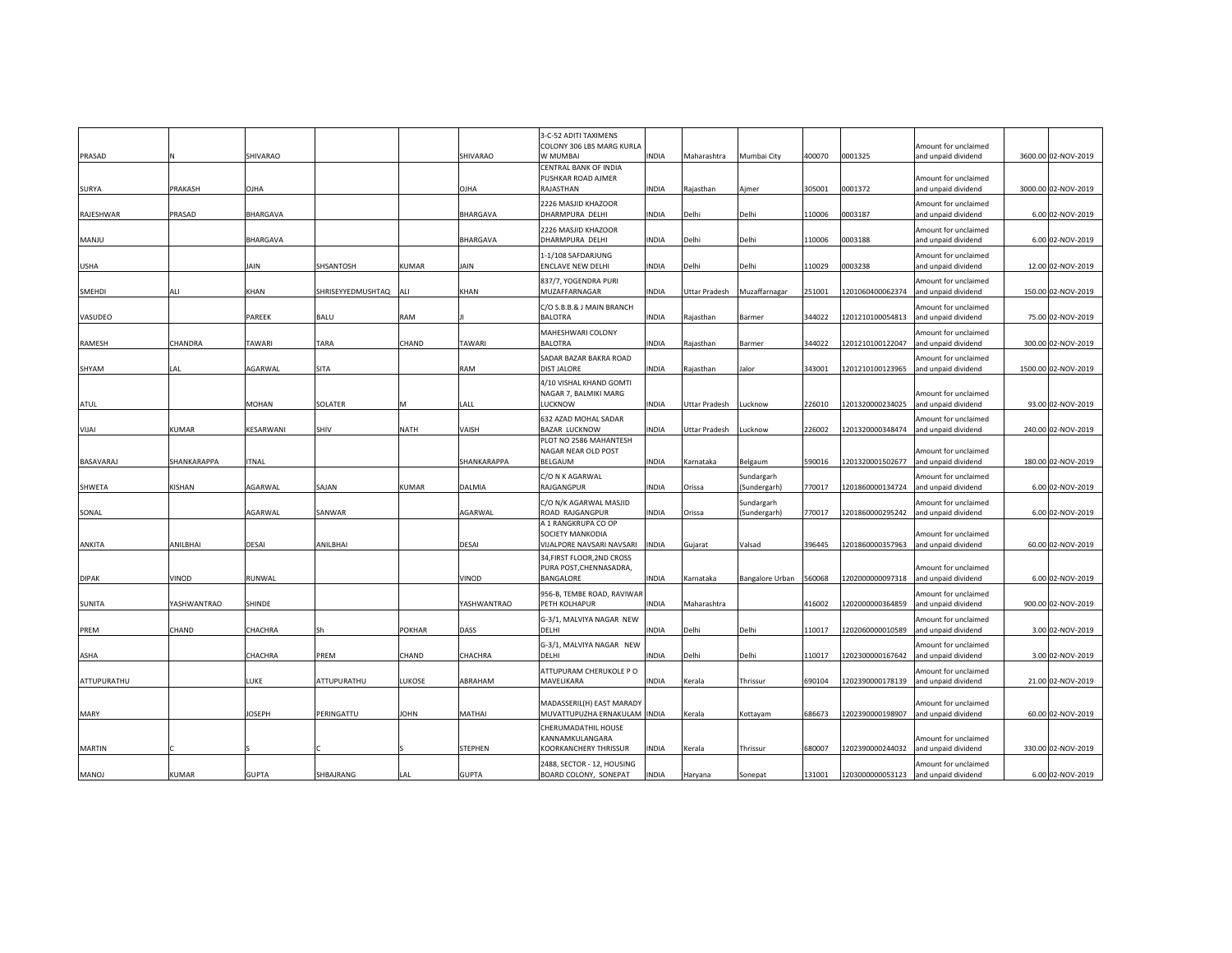|               |              |                 |                   |        |                 | 3-C-52 ADITI TAXIMENS<br>COLONY 306 LBS MARG KURLA        |              |               |                            |        |                  | Amount for unclaimed                        |                     |
|---------------|--------------|-----------------|-------------------|--------|-----------------|-----------------------------------------------------------|--------------|---------------|----------------------------|--------|------------------|---------------------------------------------|---------------------|
| PRASAD        | и            | SHIVARAO        |                   |        | <b>SHIVARAO</b> | W MUMBAI                                                  | <b>INDIA</b> | Maharashtra   | Mumbai City                | 400070 | 0001325          | and unpaid dividend                         | 3600.00 02-NOV-2019 |
|               |              |                 |                   |        |                 | CENTRAL BANK OF INDIA                                     |              |               |                            |        |                  |                                             |                     |
| <b>SURYA</b>  | PRAKASH      | <b>OJHA</b>     |                   |        | <b>OJHA</b>     | PUSHKAR ROAD AJMER<br>RAJASTHAN                           | <b>INDIA</b> | Rajasthan     | Ajmer                      | 305001 | 0001372          | Amount for unclaimed<br>and unpaid dividend | 3000.00 02-NOV-2019 |
|               |              |                 |                   |        |                 | 2226 MASJID KHAZOOR                                       |              |               |                            |        |                  | Amount for unclaimed                        |                     |
| RAJESHWAR     | PRASAD       | <b>BHARGAVA</b> |                   |        | <b>BHARGAVA</b> | DHARMPURA DELHI                                           | <b>INDIA</b> | Delhi         | Delhi                      | 110006 | 0003187          | and unpaid dividend                         | 6.00 02-NOV-2019    |
|               |              |                 |                   |        |                 | 2226 MASJID KHAZOOR                                       |              |               |                            |        |                  | Amount for unclaimed                        |                     |
| MANJU         |              | <b>BHARGAVA</b> |                   |        | BHARGAVA        | DHARMPURA DELHI                                           | INDIA        | Delhi         | Delhi                      | 110006 | 0003188          | and unpaid dividend                         | 6.00 02-NOV-2019    |
|               |              |                 |                   |        |                 | 1-1/108 SAFDARJUNG                                        |              |               |                            |        |                  | Amount for unclaimed                        |                     |
| USHA          |              | JAIN            | SHSANTOSH         | KUMAR  | JAIN            | ENCLAVE NEW DELHI                                         | <b>INDIA</b> | Delhi         | Delhi                      | 110029 | 0003238          | and unpaid dividend                         | 12.00 02-NOV-2019   |
|               |              |                 |                   |        |                 | 837/7, YOGENDRA PURI                                      |              |               |                            |        |                  | Amount for unclaimed                        |                     |
| <b>SMEHDI</b> | ALI          | KHAN            | SHRISEYYEDMUSHTAQ | ALI    | KHAN            | MUZAFFARNAGAR                                             | <b>INDIA</b> | Uttar Pradesh | Muzaffarnagar              | 251001 | 1201060400062374 | and unpaid dividend                         | 150.00 02-NOV-2019  |
| VASUDEO       |              | PAREEK          | <b>BALU</b>       | RAM    |                 | C/O S.B.B.& J MAIN BRANCH<br><b>BALOTRA</b>               | <b>INDIA</b> | Rajasthan     | Barmer                     | 344022 | 1201210100054813 | Amount for unclaimed<br>and unpaid dividend | 75.00 02-NOV-2019   |
|               |              |                 |                   |        |                 | MAHESHWARI COLONY                                         |              |               |                            |        |                  | Amount for unclaimed                        |                     |
| RAMESH        | CHANDRA      | TAWARI          | TARA              | CHAND  | <b>TAWARI</b>   | <b>BALOTRA</b>                                            | <b>INDIA</b> | Rajasthan     | Barmer                     | 344022 | 1201210100122047 | and unpaid dividend                         | 300.00 02-NOV-2019  |
|               |              |                 |                   |        |                 | SADAR BAZAR BAKRA ROAD                                    |              |               |                            |        |                  | Amount for unclaimed                        |                     |
| SHYAM         | LAL          | AGARWAL         | SITA              |        | RAM             | <b>DIST JALORE</b>                                        | <b>INDIA</b> | Rajasthan     | Jalor                      | 343001 | 1201210100123965 | and unpaid dividend                         | 1500.00 02-NOV-2019 |
|               |              |                 |                   |        |                 | 4/10 VISHAL KHAND GOMTI                                   |              |               |                            |        |                  |                                             |                     |
| ATUL          |              | MOHAN           | SOLATER           | м      | LALL            | NAGAR 7, BALMIKI MARG<br>LUCKNOW                          | <b>INDIA</b> | Uttar Pradesh | Lucknow                    | 226010 | 1201320000234025 | Amount for unclaimed<br>and unpaid dividend | 93.00 02-NOV-2019   |
|               |              |                 |                   |        |                 |                                                           |              |               |                            |        |                  |                                             |                     |
| VIJAI         | <b>KUMAR</b> | KESARWANI       | SHIV              | NATH   | VAISH           | 632 AZAD MOHAL SADAR<br><b>BAZAR LUCKNOW</b>              | <b>INDIA</b> | Uttar Pradesh | Lucknow                    | 226002 | 1201320000348474 | Amount for unclaimed<br>and unpaid dividend | 240.00 02-NOV-2019  |
|               |              |                 |                   |        |                 | PLOT NO 2586 MAHANTESH                                    |              |               |                            |        |                  |                                             |                     |
|               |              |                 |                   |        |                 | NAGAR NEAR OLD POST                                       |              |               |                            |        |                  | Amount for unclaimed                        |                     |
| BASAVARAJ     | SHANKARAPPA  | <b>ITNAL</b>    |                   |        | SHANKARAPPA     | BELGAUM                                                   | <b>INDIA</b> | Karnataka     | Belgaum                    | 590016 | 1201320001502677 | and unpaid dividend                         | 180.00 02-NOV-2019  |
| SHWETA        | KISHAN       | AGARWAL         | SAJAN             | KUMAR  | DALMIA          | C/O N K AGARWAL<br>RAJGANGPUR                             | INDIA        | Orissa        | Sundargarh<br>(Sundergarh) | 770017 | 1201860000134724 | Amount for unclaimed<br>and unpaid dividend | 6.00 02-NOV-2019    |
|               |              |                 |                   |        |                 | C/O N/K AGARWAL MASJID                                    |              |               | Sundargarh                 |        |                  | Amount for unclaimed                        |                     |
| SONAL         |              | AGARWAL         | SANWAR            |        | AGARWAL         | ROAD RAJGANGPUR                                           | <b>INDIA</b> | Orissa        | (Sundergarh)               | 770017 | 1201860000295242 | and unpaid dividend                         | 6.00 02-NOV-2019    |
|               |              |                 |                   |        |                 | A 1 RANGKRUPA CO OP                                       |              |               |                            |        |                  |                                             |                     |
| ANKITA        | ANILBHAI     | DESAI           | ANILBHAI          |        | DESAI           | SOCIETY MANKODIA<br>VIJALPORE NAVSARI NAVSARI             | <b>INDIA</b> | Gujarat       | Valsad                     | 396445 | 1201860000357963 | Amount for unclaimed<br>and unpaid dividend | 60.00 02-NOV-2019   |
|               |              |                 |                   |        |                 | 34, FIRST FLOOR, 2ND CROSS                                |              |               |                            |        |                  |                                             |                     |
|               |              |                 |                   |        |                 | PURA POST, CHENNASADRA,                                   |              |               |                            |        |                  | Amount for unclaimed                        |                     |
| <b>DIPAK</b>  | VINOD        | RUNWAL          |                   |        | VINOD           | BANGALORE                                                 | <b>INDIA</b> | Karnataka     | <b>Bangalore Urban</b>     | 560068 | 1202000000097318 | and unpaid dividend                         | 6.00 02-NOV-2019    |
|               |              |                 |                   |        |                 | 956-B, TEMBE ROAD, RAVIWAR                                |              |               |                            |        |                  | Amount for unclaimed                        |                     |
| <b>SUNITA</b> | YASHWANTRAO  | SHINDE          |                   |        | YASHWANTRAO     | PETH KOLHAPUR                                             | <b>INDIA</b> | Maharashtra   |                            | 416002 | 1202000000364859 | and unpaid dividend                         | 900.00 02-NOV-2019  |
| PREM          | CHAND        | CHACHRA         | Sh                | POKHAR | DASS            | G-3/1, MALVIYA NAGAR NEW<br><b>DELHI</b>                  | <b>INDIA</b> | Delhi         | Delhi                      | 110017 | 1202060000010589 | Amount for unclaimed<br>and unpaid dividend | 3.00 02-NOV-2019    |
|               |              |                 |                   |        |                 |                                                           |              |               |                            |        |                  |                                             |                     |
| ASHA          |              | CHACHRA         | PREM              | CHAND  | CHACHRA         | G-3/1, MALVIYA NAGAR NEW<br><b>DELHI</b>                  | INDIA        | Delhi         | Delhi                      | 110017 | 1202300000167642 | Amount for unclaimed<br>and unpaid dividend | 3.00 02-NOV-2019    |
|               |              |                 |                   |        |                 | ATTUPURAM CHERUKOLE PO                                    |              |               |                            |        |                  | Amount for unclaimed                        |                     |
| ATTUPURATHU   |              | LUKE            | ATTUPURATHU       | LUKOSE | ABRAHAM         | MAVELIKARA                                                | <b>INDIA</b> | Kerala        | Thrissur                   | 690104 | 1202390000178139 | and unpaid dividend                         | 21.00 02-NOV-2019   |
|               |              |                 |                   |        |                 |                                                           |              |               |                            |        |                  |                                             |                     |
| MARY          |              | <b>JOSEPH</b>   | PERINGATTU        | JOHN   | MATHAI          | MADASSERIL(H) EAST MARADY<br>MUVATTUPUZHA ERNAKULAM INDIA |              | Kerala        | Kottayam                   | 686673 | 1202390000198907 | Amount for unclaimed<br>and unpaid dividend | 60.00 02-NOV-2019   |
|               |              |                 |                   |        |                 | CHERUMADATHIL HOUSE                                       |              |               |                            |        |                  |                                             |                     |
|               |              |                 |                   |        |                 | KANNAMKULANGARA                                           |              |               |                            |        |                  | Amount for unclaimed                        |                     |
| <b>MARTIN</b> |              |                 |                   |        | <b>STEPHEN</b>  | KOORKANCHERY THRISSUR                                     | <b>INDIA</b> | Kerala        | Thrissur                   | 680007 | 1202390000244032 | and unpaid dividend                         | 330.00 02-NOV-2019  |
|               |              |                 |                   |        |                 | 2488, SECTOR - 12, HOUSING                                |              |               |                            |        |                  | Amount for unclaimed                        |                     |
| <b>MANOJ</b>  | <b>KUMAR</b> | <b>GUPTA</b>    | SHBAJRANG         | LAL    | <b>GUPTA</b>    | BOARD COLONY, SONEPAT                                     | <b>INDIA</b> | Haryana       | Sonepat                    | 131001 | 1203000000053123 | and unpaid dividend                         | 6.00 02-NOV-2019    |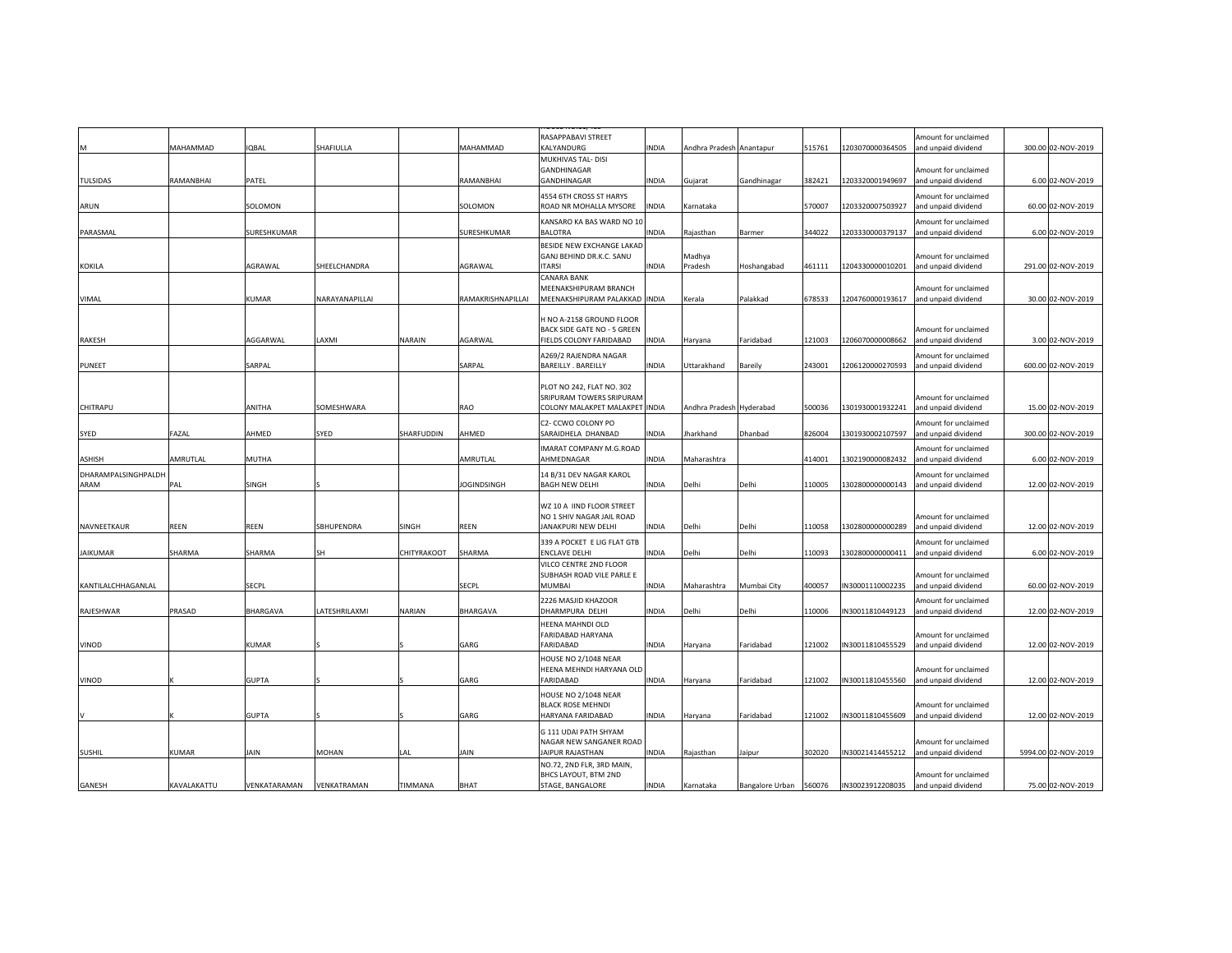|                             | MAHAMMAD     | IQBAL        | SHAFIULLA      |             | MAHAMMAD           | RASAPPABAVI STREET<br>KALYANDURG                    | <b>INDIA</b> | Andhra Pradesh Anantapur |                 | 515761 | 1203070000364505 | Amount for unclaimed<br>and unpaid dividend | 300.00 02-NOV-2019  |
|-----------------------------|--------------|--------------|----------------|-------------|--------------------|-----------------------------------------------------|--------------|--------------------------|-----------------|--------|------------------|---------------------------------------------|---------------------|
|                             |              |              |                |             |                    | MUKHIVAS TAL- DISI                                  |              |                          |                 |        |                  |                                             |                     |
|                             |              |              |                |             |                    | GANDHINAGAR                                         |              |                          |                 |        |                  | Amount for unclaimed                        |                     |
| TULSIDAS                    | RAMANBHAI    | PATEL        |                |             | RAMANBHAI          | GANDHINAGAR                                         | INDIA        | Gujarat                  | Gandhinagar     | 382421 | 1203320001949697 | and unpaid dividend                         | 6.00 02-NOV-2019    |
| ARUN                        |              | SOLOMON      |                |             | SOLOMON            | 4554 6TH CROSS ST HARYS<br>ROAD NR MOHALLA MYSORE   | <b>INDIA</b> | Karnataka                |                 | 570007 | 1203320007503927 | Amount for unclaimed<br>and unpaid dividend | 60.00 02-NOV-2019   |
|                             |              |              |                |             |                    | KANSARO KA BAS WARD NO 10                           |              |                          |                 |        |                  | Amount for unclaimed                        |                     |
| PARASMAL                    |              | SURESHKUMAR  |                |             | SURESHKUMAR        | <b>BALOTRA</b>                                      | <b>INDIA</b> | Rajasthan                | Barmer          | 344022 | 1203330000379137 | and unpaid dividend                         | 6.00 02-NOV-2019    |
|                             |              |              |                |             |                    | BESIDE NEW EXCHANGE LAKAD                           |              |                          |                 |        |                  |                                             |                     |
| KOKILA                      |              | AGRAWAL      | SHEELCHANDRA   |             | AGRAWAL            | GANJ BEHIND DR.K.C. SANU<br><b>ITARSI</b>           | <b>INDIA</b> | Madhya<br>Pradesh        | Hoshangabad     | 461111 | 1204330000010201 | Amount for unclaimed<br>and unpaid dividend | 291.00 02-NOV-2019  |
|                             |              |              |                |             |                    | <b>CANARA BANK</b>                                  |              |                          |                 |        |                  |                                             |                     |
|                             |              |              |                |             |                    | MEENAKSHIPURAM BRANCH                               |              |                          |                 |        |                  | Amount for unclaimed                        |                     |
| VIMAL                       |              | KUMAR        | NARAYANAPILLAI |             | RAMAKRISHNAPILLAI  | MEENAKSHIPURAM PALAKKAD INDIA                       |              | Kerala                   | Palakkad        | 678533 | 1204760000193617 | and unpaid dividend                         | 30.00 02-NOV-2019   |
|                             |              |              |                |             |                    | H NO A-2158 GROUND FLOOR                            |              |                          |                 |        |                  |                                             |                     |
|                             |              |              |                |             |                    | BACK SIDE GATE NO - 5 GREEN                         |              |                          |                 |        |                  | Amount for unclaimed                        |                     |
| RAKESH                      |              | AGGARWAL     | <b>AXMI</b>    | NARAIN      | AGARWAL            | FIELDS COLONY FARIDABAD                             | <b>INDIA</b> | Haryana                  | Faridabad       | 121003 | 1206070000008662 | and unpaid dividend                         | 3.00 02-NOV-2019    |
|                             |              |              |                |             |                    | A269/2 RAJENDRA NAGAR                               |              |                          |                 |        |                  | Amount for unclaimed                        |                     |
| PUNEET                      |              | SARPAL       |                |             | SARPAL             | <b>BAREILLY . BAREILLY</b>                          | <b>INDIA</b> | Uttarakhand              | Bareily         | 243001 | 1206120000270593 | and unpaid dividend                         | 600.00 02-NOV-2019  |
|                             |              |              |                |             |                    | PLOT NO 242, FLAT NO. 302                           |              |                          |                 |        |                  |                                             |                     |
|                             |              |              |                |             |                    | SRIPURAM TOWERS SRIPURAM                            |              |                          |                 |        |                  | Amount for unclaimed                        |                     |
| CHITRAPU                    |              | ANITHA       | SOMESHWARA     |             | RAO                | COLONY MALAKPET MALAKPET INDIA                      |              | Andhra Pradesh Hyderabad |                 | 500036 | 1301930001932241 | and unpaid dividend                         | 15.00 02-NOV-2019   |
|                             |              |              |                |             |                    | C2- CCWO COLONY PO                                  |              |                          |                 |        |                  | Amount for unclaimed                        |                     |
| SYED                        | FAZAL        | AHMED        | SYED           | SHARFUDDIN  | AHMED              | SARAIDHELA DHANBAD                                  | <b>INDIA</b> | Jharkhand                | Dhanbad         | 826004 | 1301930002107597 | and unpaid dividend                         | 300.00 02-NOV-2019  |
|                             |              |              |                |             |                    | IMARAT COMPANY M.G.ROAD                             |              |                          |                 |        |                  | Amount for unclaimed                        |                     |
| ASHISH                      | AMRUTLAL     | MUTHA        |                |             | AMRUTLAL           | AHMEDNAGAR                                          | <b>INDIA</b> | Maharashtra              |                 | 414001 | 1302190000082432 | and unpaid dividend                         | 6.00 02-NOV-2019    |
| DHARAMPALSINGHPALDH<br>ARAM | PAL          | SINGH        |                |             | <b>JOGINDSINGH</b> | 14 B/31 DEV NAGAR KAROL<br><b>BAGH NEW DELHI</b>    | <b>INDIA</b> | Delhi                    | Delhi           | 110005 | 1302800000000143 | Amount for unclaimed<br>and unpaid dividend | 12.00 02-NOV-2019   |
|                             |              |              |                |             |                    |                                                     |              |                          |                 |        |                  |                                             |                     |
|                             |              |              |                |             |                    | WZ 10 A IIND FLOOR STREET                           |              |                          |                 |        |                  |                                             |                     |
|                             |              |              |                |             |                    | NO 1 SHIV NAGAR JAIL ROAD                           |              |                          |                 |        |                  | Amount for unclaimed                        |                     |
| NAVNEETKAUR                 | REEN         | REEN         | SBHUPENDRA     | SINGH       | <b>REEN</b>        | JANAKPURI NEW DELHI                                 | <b>INDIA</b> | Delhi                    | Delhi           | 110058 | 1302800000000289 | and unpaid dividend                         | 12.00 02-NOV-2019   |
| <b>JAIKUMAR</b>             | SHARMA       | SHARMA       | SН             | CHITYRAKOOT | SHARMA             | 339 A POCKET E LIG FLAT GTB<br><b>ENCLAVE DELHI</b> | INDIA        | Delhi                    | Delhi           | 110093 | 1302800000000411 | Amount for unclaimed<br>and unpaid dividend | 6.00 02-NOV-2019    |
|                             |              |              |                |             |                    | VILCO CENTRE 2ND FLOOR                              |              |                          |                 |        |                  |                                             |                     |
|                             |              |              |                |             |                    | SUBHASH ROAD VILE PARLE E                           |              |                          |                 |        |                  | Amount for unclaimed                        |                     |
| KANTILALCHHAGANLAL          |              | SECPL        |                |             | <b>SECPL</b>       | <b>MUMBAI</b>                                       | <b>INDIA</b> | Maharashtra              | Mumbai City     | 400057 | IN30001110002235 | and unpaid dividend                         | 60.00 02-NOV-2019   |
|                             |              |              |                |             |                    | 2226 MASJID KHAZOOR                                 |              |                          |                 |        |                  | Amount for unclaimed                        |                     |
| RAJESHWAR                   | PRASAD       | BHARGAVA     | LATESHRILAXMI  | NARIAN      | <b>BHARGAVA</b>    | DHARMPURA DELHI                                     | <b>INDIA</b> | Delhi                    | Delhi           | 110006 | IN30011810449123 | and unpaid dividend                         | 12.00 02-NOV-2019   |
|                             |              |              |                |             |                    | HEENA MAHNDI OLD<br>FARIDABAD HARYANA               |              |                          |                 |        |                  | Amount for unclaimed                        |                     |
| VINOD                       |              | KUMAR        |                |             | GARG               | FARIDABAD                                           | <b>INDIA</b> | Haryana                  | Faridabad       | 121002 | IN30011810455529 | and unpaid dividend                         | 12.00 02-NOV-2019   |
|                             |              |              |                |             |                    | HOUSE NO 2/1048 NEAR                                |              |                          |                 |        |                  |                                             |                     |
|                             |              |              |                |             |                    | HEENA MEHNDI HARYANA OLD                            |              |                          |                 |        |                  | Amount for unclaimed                        |                     |
| <b>VINOD</b>                |              | <b>GUPTA</b> |                |             | GARG               | <b>FARIDABAD</b>                                    | <b>INDIA</b> | Haryana                  | Faridabad       | 121002 | IN30011810455560 | and unpaid dividend                         | 12.00 02-NOV-2019   |
|                             |              |              |                |             |                    | HOUSE NO 2/1048 NEAR                                |              |                          |                 |        |                  |                                             |                     |
|                             |              | <b>GUPTA</b> |                |             | GARG               | <b>BLACK ROSE MEHNDI</b><br>HARYANA FARIDABAD       | <b>INDIA</b> | Haryana                  | Faridabad       | 121002 | IN30011810455609 | Amount for unclaimed<br>and unpaid dividend | 12.00 02-NOV-2019   |
|                             |              |              |                |             |                    |                                                     |              |                          |                 |        |                  |                                             |                     |
|                             |              |              |                |             |                    | G 111 UDAI PATH SHYAM<br>NAGAR NEW SANGANER ROAD    |              |                          |                 |        |                  | Amount for unclaimed                        |                     |
| <b>SUSHIL</b>               | <b>KUMAR</b> | JAIN         | MOHAN          | LAL         | JAIN               | JAIPUR RAJASTHAN                                    | INDIA        | Rajasthan                | Jaipur          | 302020 | N30021414455212  | and unpaid dividend                         | 5994.00 02-NOV-2019 |
|                             |              |              |                |             |                    | NO.72, 2ND FLR, 3RD MAIN,                           |              |                          |                 |        |                  |                                             |                     |
| GANESH                      | KAVALAKATTU  | VENKATARAMAN | VENKATRAMAN    | TIMMANA     | <b>BHAT</b>        | BHCS LAYOUT, BTM 2ND<br>STAGE, BANGALORE            | <b>INDIA</b> | Karnataka                | Bangalore Urban | 560076 | IN30023912208035 | Amount for unclaimed<br>and unpaid dividend | 75.00 02-NOV-2019   |
|                             |              |              |                |             |                    |                                                     |              |                          |                 |        |                  |                                             |                     |